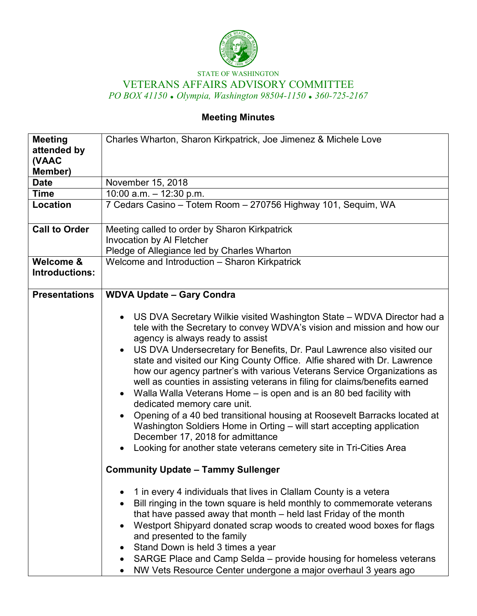

## STATE OF WASHINGTON VETERANS AFFAIRS ADVISORY COMMITTEE *PO BOX 41150 Olympia, Washington 98504-1150 360-725-2167*

# **Meeting Minutes**

| <b>Meeting</b><br>attended by<br>(VAAC<br>Member) | Charles Wharton, Sharon Kirkpatrick, Joe Jimenez & Michele Love                                                                                                                                                                                                                                                                                                                                                                                                                                                                                                                                                                                                                                                                                                                                                                                                                                                    |
|---------------------------------------------------|--------------------------------------------------------------------------------------------------------------------------------------------------------------------------------------------------------------------------------------------------------------------------------------------------------------------------------------------------------------------------------------------------------------------------------------------------------------------------------------------------------------------------------------------------------------------------------------------------------------------------------------------------------------------------------------------------------------------------------------------------------------------------------------------------------------------------------------------------------------------------------------------------------------------|
| <b>Date</b>                                       | November 15, 2018                                                                                                                                                                                                                                                                                                                                                                                                                                                                                                                                                                                                                                                                                                                                                                                                                                                                                                  |
| <b>Time</b>                                       | 10:00 a.m. $-$ 12:30 p.m.                                                                                                                                                                                                                                                                                                                                                                                                                                                                                                                                                                                                                                                                                                                                                                                                                                                                                          |
| Location                                          | 7 Cedars Casino - Totem Room - 270756 Highway 101, Sequim, WA                                                                                                                                                                                                                                                                                                                                                                                                                                                                                                                                                                                                                                                                                                                                                                                                                                                      |
| <b>Call to Order</b>                              | Meeting called to order by Sharon Kirkpatrick<br>Invocation by Al Fletcher                                                                                                                                                                                                                                                                                                                                                                                                                                                                                                                                                                                                                                                                                                                                                                                                                                         |
|                                                   | Pledge of Allegiance led by Charles Wharton                                                                                                                                                                                                                                                                                                                                                                                                                                                                                                                                                                                                                                                                                                                                                                                                                                                                        |
| Welcome &<br>Introductions:                       | Welcome and Introduction - Sharon Kirkpatrick                                                                                                                                                                                                                                                                                                                                                                                                                                                                                                                                                                                                                                                                                                                                                                                                                                                                      |
| <b>Presentations</b>                              | <b>WDVA Update - Gary Condra</b>                                                                                                                                                                                                                                                                                                                                                                                                                                                                                                                                                                                                                                                                                                                                                                                                                                                                                   |
|                                                   | US DVA Secretary Wilkie visited Washington State - WDVA Director had a<br>$\bullet$<br>tele with the Secretary to convey WDVA's vision and mission and how our<br>agency is always ready to assist<br>US DVA Undersecretary for Benefits, Dr. Paul Lawrence also visited our<br>$\bullet$<br>state and visited our King County Office. Alfie shared with Dr. Lawrence<br>how our agency partner's with various Veterans Service Organizations as<br>well as counties in assisting veterans in filing for claims/benefits earned<br>Walla Walla Veterans Home - is open and is an 80 bed facility with<br>dedicated memory care unit.<br>Opening of a 40 bed transitional housing at Roosevelt Barracks located at<br>Washington Soldiers Home in Orting - will start accepting application<br>December 17, 2018 for admittance<br>Looking for another state veterans cemetery site in Tri-Cities Area<br>$\bullet$ |
|                                                   | <b>Community Update - Tammy Sullenger</b>                                                                                                                                                                                                                                                                                                                                                                                                                                                                                                                                                                                                                                                                                                                                                                                                                                                                          |
|                                                   | 1 in every 4 individuals that lives in Clallam County is a vetera<br>Bill ringing in the town square is held monthly to commemorate veterans<br>that have passed away that month - held last Friday of the month<br>Westport Shipyard donated scrap woods to created wood boxes for flags<br>$\bullet$<br>and presented to the family<br>Stand Down is held 3 times a year<br>SARGE Place and Camp Selda – provide housing for homeless veterans<br>NW Vets Resource Center undergone a major overhaul 3 years ago                                                                                                                                                                                                                                                                                                                                                                                                 |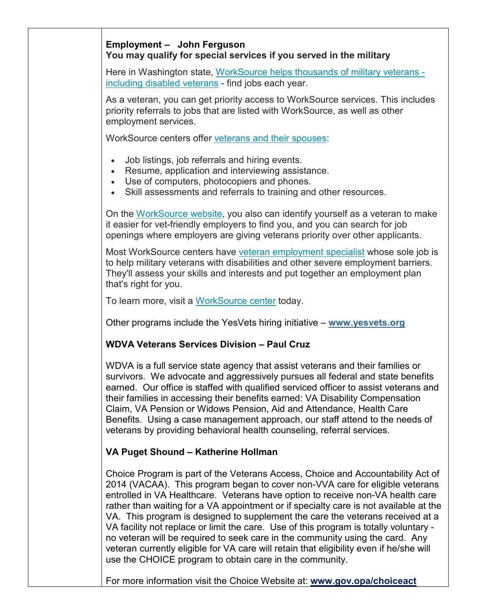## **Employment – John Ferguson You may qualify for special services if you served in the military**

Here in Washington state, [WorkSource helps thousands of military veterans](https://seeker.worksourcewa.com/microsite/content.aspx?appid=MGSWAVET&pagetype=simple&seo=landingpage)  [including disabled veterans](https://seeker.worksourcewa.com/microsite/content.aspx?appid=MGSWAVET&pagetype=simple&seo=landingpage) - find jobs each year.

As a veteran, you can get priority access to WorkSource services. This includes priority referrals to jobs that are listed with WorkSource, as well as other employment services.

WorkSource centers offer [veterans and their spouses:](https://seeker.worksourcewa.com/microsite/content.aspx?appid=MGSWAVET&pagetype=simple&seo=landingpage)

- Job listings, job referrals and hiring events.
- Resume, application and interviewing assistance.
- Use of computers, photocopiers and phones.
- Skill assessments and referrals to training and other resources.

On the [WorkSource website,](https://seeker.worksourcewa.com/) you also can identify yourself as a veteran to make it easier for vet-friendly employers to find you, and you can search for job openings where employers are giving veterans priority over other applicants.

Most WorkSource centers have [veteran employment specialist](https://seeker.worksourcewa.com/microsite/Content.aspx?appid=MGSWAOFFLOC&pageType=simple&seo=officelocator&from=vetsms) whose sole job is to help military veterans with disabilities and other severe employment barriers. They'll assess your skills and interests and put together an employment plan that's right for you.

To learn more, visit a [WorkSource center](https://seeker.worksourcewa.com/microsite/content.aspx?appid=MGSWAOFFLOC&pagetype=simple&seo=officelocator) today.

Other programs include the YesVets hiring initiative – **[www.yesvets.org](http://www.yesvets.org/)**

## **WDVA Veterans Services Division – Paul Cruz**

WDVA is a full service state agency that assist veterans and their families or survivors. We advocate and aggressively pursues all federal and state benefits earned. Our office is staffed with qualified serviced officer to assist veterans and their families in accessing their benefits earned: VA Disability Compensation Claim, VA Pension or Widows Pension, Aid and Attendance, Health Care Benefits. Using a case management approach, our staff attend to the needs of veterans by providing behavioral health counseling, referral services.

## **VA Puget Shound – Katherine Hollman**

Choice Program is part of the Veterans Access, Choice and Accountability Act of 2014 (VACAA). This program began to cover non-VVA care for eligible veterans entrolled in VA Healthcare. Veterans have option to receive non-VA health care rather than waiting for a VA appointment or if specialty care is not available at the VA. This program is designed to supplement the care the veterans received at a VA facility not replace or limit the care. Use of this program is totally voluntary no veteran will be required to seek care in the community using the card. Any veteran currently eligible for VA care will retain that eligibility even if he/she will use the CHOICE program to obtain care in the community.

For more information visit the Choice Website at: **www.gov.opa/choiceact**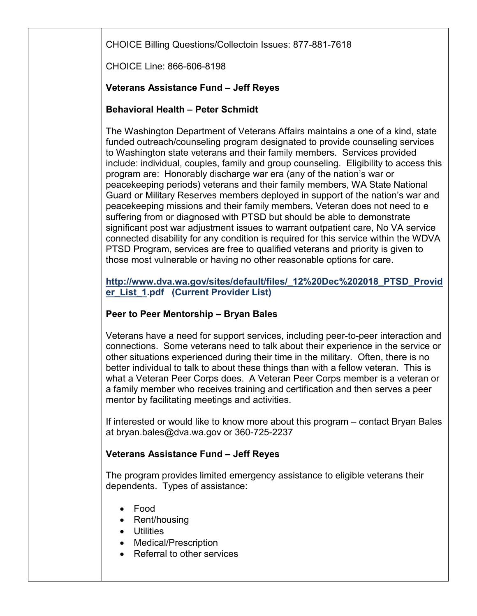CHOICE Billing Questions/Collectoin Issues: 877-881-7618

CHOICE Line: 866-606-8198

## **Veterans Assistance Fund – Jeff Reyes**

## **Behavioral Health – Peter Schmidt**

The Washington Department of Veterans Affairs maintains a one of a kind, state funded outreach/counseling program designated to provide counseling services to Washington state veterans and their family members. Services provided include: individual, couples, family and group counseling. Eligibility to access this program are: Honorably discharge war era (any of the nation's war or peacekeeping periods) veterans and their family members, WA State National Guard or Military Reserves members deployed in support of the nation's war and peacekeeping missions and their family members, Veteran does not need to e suffering from or diagnosed with PTSD but should be able to demonstrate significant post war adjustment issues to warrant outpatient care, No VA service connected disability for any condition is required for this service within the WDVA PTSD Program, services are free to qualified veterans and priority is given to those most vulnerable or having no other reasonable options for care.

**http://www.dva.wa.gov/sites/default/files/\_12%20Dec%202018\_PTSD\_Provid er\_List\_1.pdf (Current Provider List)**

## **Peer to Peer Mentorship – Bryan Bales**

Veterans have a need for support services, including peer-to-peer interaction and connections. Some veterans need to talk about their experience in the service or other situations experienced during their time in the military. Often, there is no better individual to talk to about these things than with a fellow veteran. This is what a Veteran Peer Corps does. A Veteran Peer Corps member is a veteran or a family member who receives training and certification and then serves a peer mentor by facilitating meetings and activities.

If interested or would like to know more about this program – contact Bryan Bales at bryan.bales@dva.wa.gov or 360-725-2237

## **Veterans Assistance Fund – Jeff Reyes**

The program provides limited emergency assistance to eligible veterans their dependents. Types of assistance:

- Food
- Rent/housing
- Utilities
- Medical/Prescription
- Referral to other services